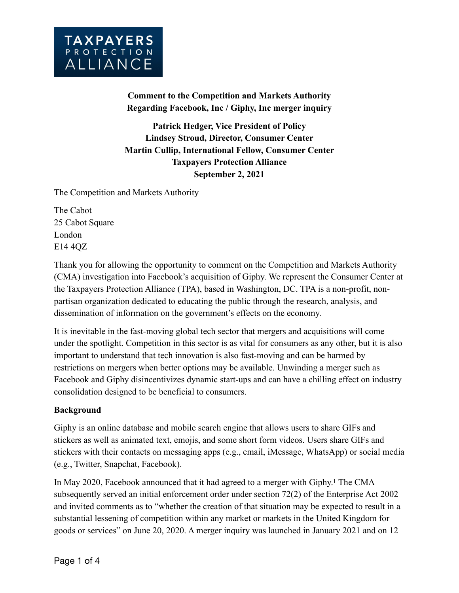

**Comment to the [Competition and Markets Authority](https://www.gov.uk/government/organisations/competition-and-markets-authority) Regarding Facebook, Inc / Giphy, Inc merger inquiry**

**Patrick Hedger, Vice President of Policy Lindsey Stroud, Director, Consumer Center Martin Cullip, International Fellow, Consumer Center Taxpayers Protection Alliance September 2, 2021**

The Competition and Markets Authority

The Cabot 25 Cabot Square London E14 4QZ

Thank you for allowing the opportunity to comment on the Competition and Markets Authority (CMA) investigation into Facebook's acquisition of Giphy. We represent the Consumer Center at the Taxpayers Protection Alliance (TPA), based in Washington, DC. TPA is a non-profit, nonpartisan organization dedicated to educating the public through the research, analysis, and dissemination of information on the government's effects on the economy.

It is inevitable in the fast-moving global tech sector that mergers and acquisitions will come under the spotlight. Competition in this sector is as vital for consumers as any other, but it is also important to understand that tech innovation is also fast-moving and can be harmed by restrictions on mergers when better options may be available. Unwinding a merger such as Facebook and Giphy disincentivizes dynamic start-ups and can have a chilling effect on industry consolidation designed to be beneficial to consumers.

## **Background**

Giphy is an online database and mobile search engine that allows users to share GIFs and stickers as well as animated text, emojis, and some short form videos. Users share GIFs and stickers with their contacts on messaging apps (e.g., email, iMessage, WhatsApp) or social media (e.g., Twitter, Snapchat, Facebook).

In May 2020, Facebook announced that it had agreed to a merger with Giphy.1 The CMA subsequently served an initial enforcement order under section 72(2) of the Enterprise Act 2002 and invited comments as to "whether the creation of that situation may be expected to result in a substantial lessening of competition within any market or markets in the United Kingdom for goods or services" on June 20, 2020. A merger inquiry was launched in January 2021 and on 12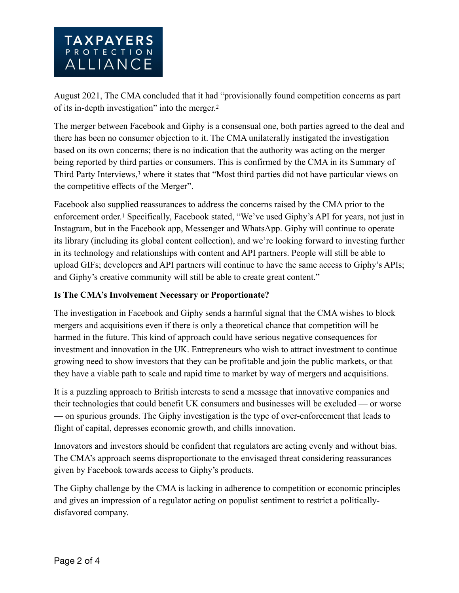

August 2021, The CMA concluded that it had "provisionally found competition concerns as part of its in-depth investigation" into the merger.2

The merger between Facebook and Giphy is a consensual one, both parties agreed to the deal and there has been no consumer objection to it. The CMA unilaterally instigated the investigation based on its own concerns; there is no indication that the authority was acting on the merger being reported by third parties or consumers. This is confirmed by the CMA in its Summary of Third Party Interviews,<sup>3</sup> where it states that "Most third parties did not have particular views on the competitive effects of the Merger".

Facebook also supplied reassurances to address the concerns raised by the CMA prior to the enforcement order.1 Specifically, Facebook stated, "We've used Giphy's API for years, not just in Instagram, but in the Facebook app, Messenger and WhatsApp. Giphy will continue to operate its library (including its global content collection), and we're looking forward to investing further in its technology and relationships with content and API partners. People will still be able to upload GIFs; developers and API partners will continue to have the same access to Giphy's APIs; and Giphy's creative community will still be able to create great content."

## **Is The CMA's Involvement Necessary or Proportionate?**

The investigation in Facebook and Giphy sends a harmful signal that the CMA wishes to block mergers and acquisitions even if there is only a theoretical chance that competition will be harmed in the future. This kind of approach could have serious negative consequences for investment and innovation in the UK. Entrepreneurs who wish to attract investment to continue growing need to show investors that they can be profitable and join the public markets, or that they have a viable path to scale and rapid time to market by way of mergers and acquisitions.

It is a puzzling approach to British interests to send a message that innovative companies and their technologies that could benefit UK consumers and businesses will be excluded — or worse — on spurious grounds. The Giphy investigation is the type of over-enforcement that leads to flight of capital, depresses economic growth, and chills innovation.

Innovators and investors should be confident that regulators are acting evenly and without bias. The CMA's approach seems disproportionate to the envisaged threat considering reassurances given by Facebook towards access to Giphy's products.

The Giphy challenge by the CMA is lacking in adherence to competition or economic principles and gives an impression of a regulator acting on populist sentiment to restrict a politicallydisfavored company.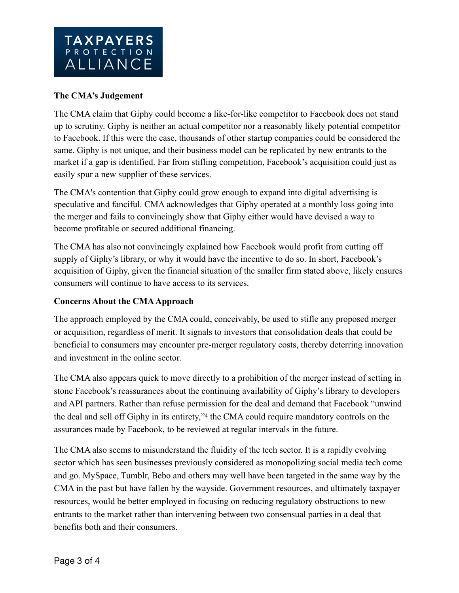## **The CMA's Judgement**

The CMA claim that Giphy could become a like-for-like competitor to Facebook does not stand up to scrutiny. Giphy is neither an actual competitor nor a reasonably likely potential competitor to Facebook. If this were the case, thousands of other startup companies could be considered the same. Giphy is not unique, and their business model can be replicated by new entrants to the market if a gap is identified. Far from stifling competition, Facebook's acquisition could just as easily spur a new supplier of these services.

The CMA's contention that Giphy could grow enough to expand into digital advertising is speculative and fanciful. CMA acknowledges that Giphy operated at a monthly loss going into the merger and fails to convincingly show that Giphy either would have devised a way to become profitable or secured additional financing.

The CMA has also not convincingly explained how Facebook would profit from cutting off supply of Giphy's library, or why it would have the incentive to do so. In short, Facebook's acquisition of Giphy, given the financial situation of the smaller firm stated above, likely ensures consumers will continue to have access to its services.

## **Concerns About the CMA Approach**

The approach employed by the CMA could, conceivably, be used to stifle any proposed merger or acquisition, regardless of merit. It signals to investors that consolidation deals that could be beneficial to consumers may encounter pre-merger regulatory costs, thereby deterring innovation and investment in the online sector.

The CMA also appears quick to move directly to a prohibition of the merger instead of setting in stone Facebook's reassurances about the continuing availability of Giphy's library to developers and API partners. Rather than refuse permission for the deal and demand that Facebook "unwind the deal and sell off Giphy in its entirety,"4 the CMA could require mandatory controls on the assurances made by Facebook, to be reviewed at regular intervals in the future.

The CMA also seems to misunderstand the fluidity of the tech sector. It is a rapidly evolving sector which has seen businesses previously considered as monopolizing social media tech come and go. MySpace, Tumblr, Bebo and others may well have been targeted in the same way by the CMA in the past but have fallen by the wayside. Government resources, and ultimately taxpayer resources, would be better employed in focusing on reducing regulatory obstructions to new entrants to the market rather than intervening between two consensual parties in a deal that benefits both and their consumers.